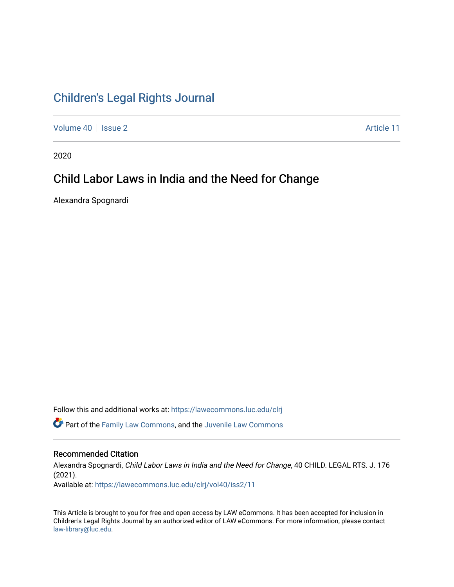# [Children's Legal Rights Journal](https://lawecommons.luc.edu/clrj)

[Volume 40](https://lawecommons.luc.edu/clrj/vol40) | [Issue 2](https://lawecommons.luc.edu/clrj/vol40/iss2) Article 11

2020

# Child Labor Laws in India and the Need for Change

Alexandra Spognardi

Follow this and additional works at: [https://lawecommons.luc.edu/clrj](https://lawecommons.luc.edu/clrj?utm_source=lawecommons.luc.edu%2Fclrj%2Fvol40%2Fiss2%2F11&utm_medium=PDF&utm_campaign=PDFCoverPages)

**C** Part of the [Family Law Commons,](http://network.bepress.com/hgg/discipline/602?utm_source=lawecommons.luc.edu%2Fclrj%2Fvol40%2Fiss2%2F11&utm_medium=PDF&utm_campaign=PDFCoverPages) and the Juvenile Law Commons

#### Recommended Citation

Alexandra Spognardi, Child Labor Laws in India and the Need for Change, 40 CHILD. LEGAL RTS. J. 176 (2021). Available at: [https://lawecommons.luc.edu/clrj/vol40/iss2/11](https://lawecommons.luc.edu/clrj/vol40/iss2/11?utm_source=lawecommons.luc.edu%2Fclrj%2Fvol40%2Fiss2%2F11&utm_medium=PDF&utm_campaign=PDFCoverPages) 

This Article is brought to you for free and open access by LAW eCommons. It has been accepted for inclusion in Children's Legal Rights Journal by an authorized editor of LAW eCommons. For more information, please contact [law-library@luc.edu](mailto:law-library@luc.edu).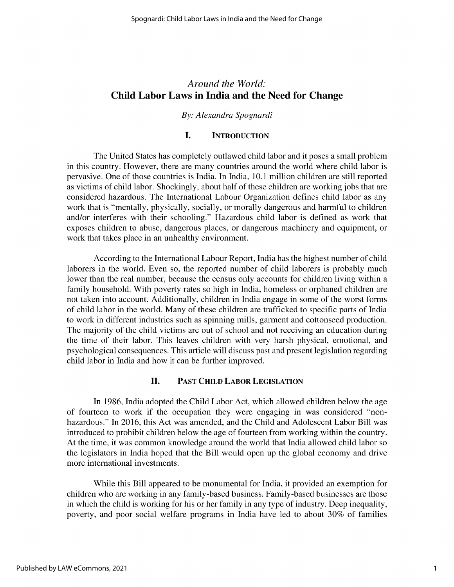### *Around the World:* **Child Labor Laws in India and the Need for Change**

#### *By: Alexandra Spognardi*

### **I. INTRODUCTION**

The United States has completely outlawed child labor and it poses a small problem in this country. However, there are many countries around the world where child labor is pervasive. One of those countries is India. In India, 10.1 million children are still reported as victims of child labor. Shockingly, about half of these children are working jobs that are considered hazardous. The International Labour Organization defines child labor as any work that is "mentally, physically, socially, or morally dangerous and harmful to children and/or interferes with their schooling." Hazardous child labor is defined as work that exposes children to abuse, dangerous places, or dangerous machinery and equipment, or work that takes place in an unhealthy environment.

According to the International Labour Report, India has the highest number of child laborers in the world. Even so, the reported number of child laborers is probably much lower than the real number, because the census only accounts for children living within a family household. With poverty rates so high in India, homeless or orphaned children are not taken into account. Additionally, children in India engage in some of the worst forms of child labor in the world. Many of these children are trafficked to specific parts of India to work in different industries such as spinning mills, garment and cottonseed production. The majority of the child victims are out of school and not receiving an education during the time of their labor. This leaves children with very harsh physical, emotional, and psychological consequences. This article will discuss past and present legislation regarding child labor in India and how it can be further improved.

#### **II. PAST CHILD LABOR LEGISLATION**

In 1986, India adopted the Child Labor Act, which allowed children below the age of fourteen to work if the occupation they were engaging in was considered "nonhazardous." In 2016, this Act was amended, and the Child and Adolescent Labor Bill was introduced to prohibit children below the age of fourteen from working within the country. At the time, it was common knowledge around the world that India allowed child labor so the legislators in India hoped that the Bill would open up the global economy and drive more international investments.

While this Bill appeared to be monumental for India, it provided an exemption for children who are working in any family-based business. Family-based businesses are those in which the child is working for his or her family in any type of industry. Deep inequality, poverty, and poor social welfare programs in India have led to about 30% of families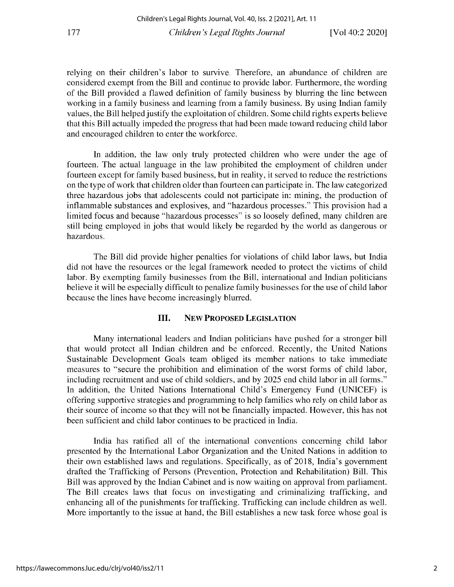relying on their children's labor to survive. Therefore, an abundance of children are considered exempt from the Bill and continue to provide labor. Furthermore, the wording of the Bill provided a flawed definition of family business by blurring the line between working in a family business and learning from a family business. By using Indian family values, the Bill helped justify the exploitation of children. Some child rights experts believe that this Bill actually impeded the progress that had been made toward reducing child labor and encouraged children to enter the workforce.

In addition, the law only truly protected children who were under the age of fourteen. The actual language in the law prohibited the employment of children under fourteen except for family based business, but in reality, it served to reduce the restrictions on the type of work that children older than fourteen can participate in. The law categorized three hazardous jobs that adolescents could not participate in: mining, the production of inflammable substances and explosives, and "hazardous processes." This provision had a limited focus and because "hazardous processes" **is so** loosely defined, many children are still being employed in jobs that would likely be regarded by the world as dangerous or hazardous.

The Bill did provide higher penalties for violations of child labor laws, but India did not have the resources or the legal framework needed to protect the victims of child labor. By exempting family businesses from the Bill, international and Indian politicians believe it will be especially difficult to penalize family businesses for the use of child labor because the lines have become increasingly blurred.

#### **III. NEW PROPOSED LEGISLATION**

Many international leaders and Indian politicians have pushed for a stronger bill that would protect all Indian children and be enforced. Recently, the United Nations Sustainable Development Goals team obliged its member nations to take immediate measures to "secure the prohibition and elimination of the worst forms of child labor, including recruitment and use of child soldiers, and by 2025 end child labor in all forms." In addition, the United Nations International Child's Emergency Fund (UNICEF) is offering supportive strategies and programming to help families who rely on child labor as their source of income so that they will not be financially impacted. However, this has not been sufficient and child labor continues to be practiced in India.

India has ratified all of the international conventions concerning child labor presented by the International Labor Organization and the United Nations in addition to their own established laws and regulations. Specifically, as of 2018, India's government drafted the Trafficking of Persons (Prevention, Protection and Rehabilitation) Bill. This Bill was approved by the Indian Cabinet and is now waiting on approval from parliament. The Bill creates laws that focus on investigating and criminalizing trafficking, and enhancing all of the punishments for trafficking. Trafficking can include children as well. More importantly to the issue at hand, the Bill establishes a new task force whose goal is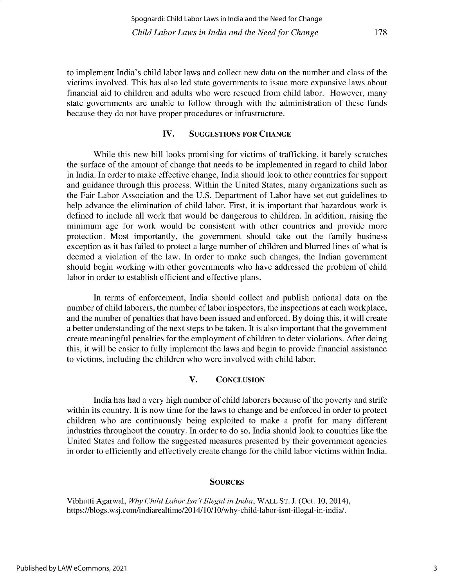178

**to implement India's child labor laws and collect new data on the number and class of the victims involved. This has also led state governments to issue more expansive laws about** financial aid to children and adults who were rescued from child labor. However, many **state governments are unable to follow through with the administration of these funds because they do not have proper procedures or infrastructure.**

#### **IV. SUGGESTIONS FOR CHANGE**

While this new bill looks promising for victims of trafficking, it barely scratches **the surface of the amount of change that needs to be implemented in regard to child labor in India. In order to make effective change, India should look to other countries for support and guidance through this process. Within the United States, many organizations such as** the Fair Labor Association and the U.S. Department of Labor have set out guidelines to **help advance the elimination of child labor. First, it is important that hazardous work is defined to include all work that would be dangerous to children. In addition, raising the minimum age for work would be consistent with other countries and provide more** protection. Most importantly, the government should take out the family business exception as it has failed to protect a large number of children and blurred lines of what is **deemed a violation of the law. In order to make such changes, the Indian government should begin working with other governments who have addressed the problem of child** labor in order to establish efficient and effective plans.

**In terms of enforcement, India should collect and publish national data on the number of child laborers, the number of labor inspectors, the inspections at each workplace, and the number of penalties that have been issued and enforced. By doing this, it will create a better understanding of the next steps to be taken. It is also important that the government create meaningful penalties for the employment of children to deter violations. After doing** this, it will be easier to fully implement the laws and begin to provide financial assistance to victims, including the children who were involved with child labor.

### **V. CONCLUSION**

**India has had a very high number of child laborers because of the poverty and strife** within its country. It is now time for the laws to change and be enforced in order to protect children who are continuously being exploited to make a profit for many different **industries throughout the country. In order to do so, India should look to countries like the United States and follow the suggested measures presented by their government agencies in order to efficiently and effectively create change for the child labor victims within India.**

#### **SOURCES**

Vibhutti Agarwal, *Why Child Labor Isn 't Illegal in India,* **WALL ST. J. (Oct. 10, 2014), https://blogs.wsj .com/indiarealtime/2014/10/10/why-child-labor-isnt-illegal-in-india/.**